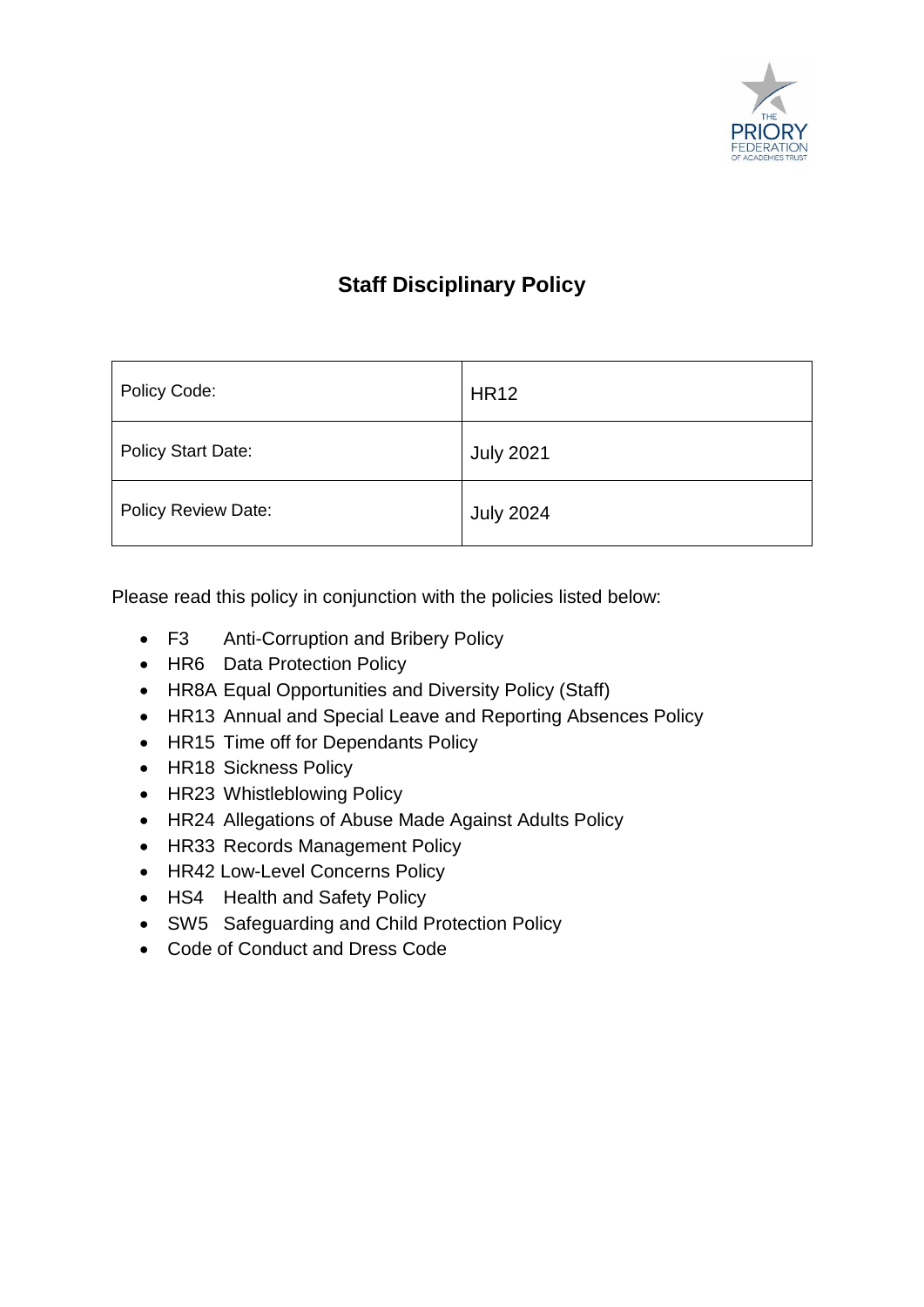

# **Staff Disciplinary Policy**

| Policy Code:               | <b>HR12</b>      |
|----------------------------|------------------|
| <b>Policy Start Date:</b>  | <b>July 2021</b> |
| <b>Policy Review Date:</b> | <b>July 2024</b> |

Please read this policy in conjunction with the policies listed below:

- F3 Anti-Corruption and Bribery Policy
- HR6 Data Protection Policy
- HR8A Equal Opportunities and Diversity Policy (Staff)
- HR13 Annual and Special Leave and Reporting Absences Policy
- HR15 Time off for Dependants Policy
- HR18 Sickness Policy
- HR23 Whistleblowing Policy
- HR24 Allegations of Abuse Made Against Adults Policy
- HR33 Records Management Policy
- HR42 Low-Level Concerns Policy
- HS4 Health and Safety Policy
- SW5 Safeguarding and Child Protection Policy
- Code of Conduct and Dress Code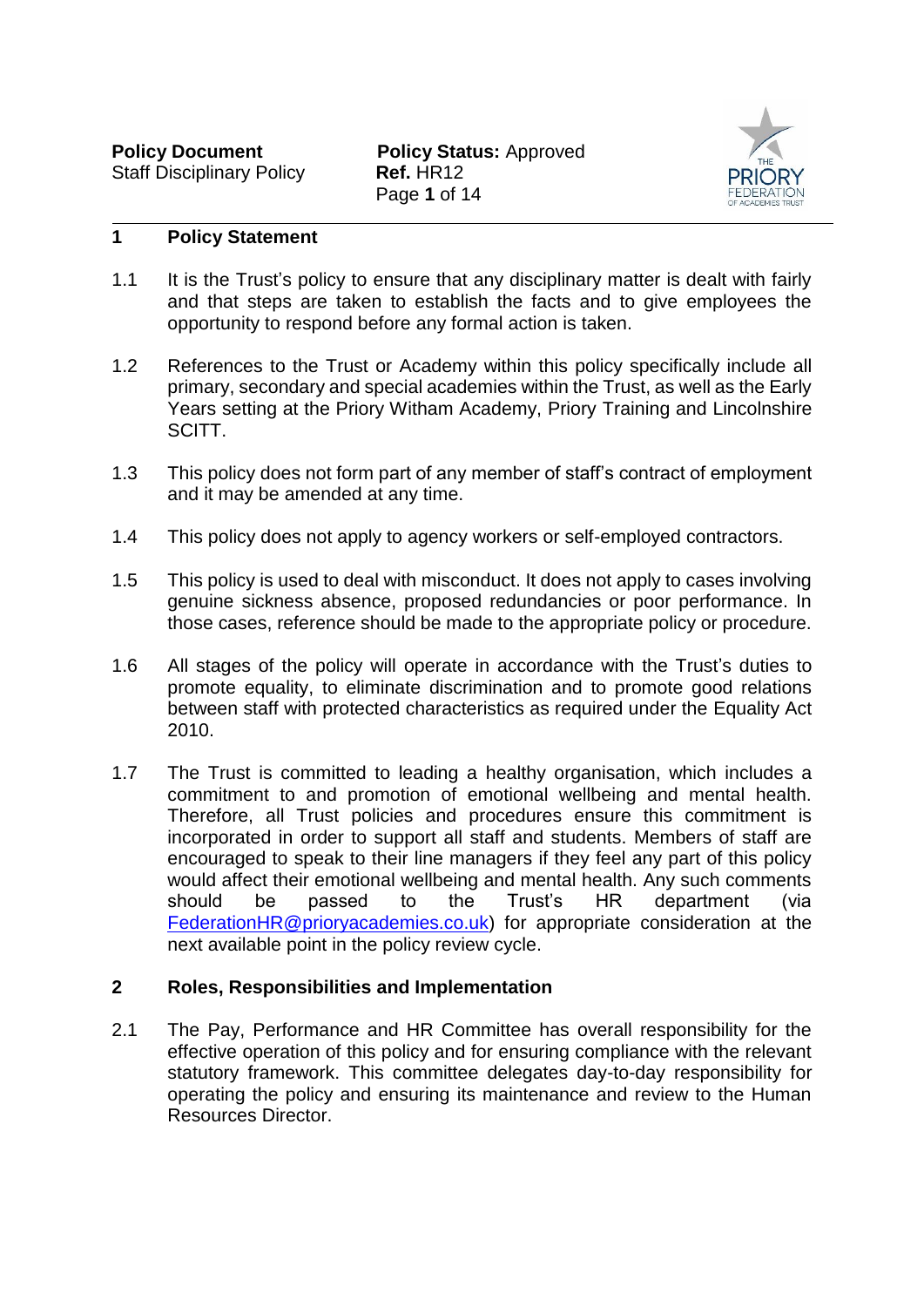

# **1 Policy Statement**

- 1.1 It is the Trust's policy to ensure that any disciplinary matter is dealt with fairly and that steps are taken to establish the facts and to give employees the opportunity to respond before any formal action is taken.
- 1.2 References to the Trust or Academy within this policy specifically include all primary, secondary and special academies within the Trust, as well as the Early Years setting at the Priory Witham Academy, Priory Training and Lincolnshire SCITT.
- 1.3 This policy does not form part of any member of staff's contract of employment and it may be amended at any time.
- 1.4 This policy does not apply to agency workers or self-employed contractors.
- 1.5 This policy is used to deal with misconduct. It does not apply to cases involving genuine sickness absence, proposed redundancies or poor performance. In those cases, reference should be made to the appropriate policy or procedure.
- 1.6 All stages of the policy will operate in accordance with the Trust's duties to promote equality, to eliminate discrimination and to promote good relations between staff with protected characteristics as required under the Equality Act 2010.
- 1.7 The Trust is committed to leading a healthy organisation, which includes a commitment to and promotion of emotional wellbeing and mental health. Therefore, all Trust policies and procedures ensure this commitment is incorporated in order to support all staff and students. Members of staff are encouraged to speak to their line managers if they feel any part of this policy would affect their emotional wellbeing and mental health. Any such comments should be passed to the Trust's HR department (via [FederationHR@prioryacademies.co.uk\)](mailto:FederationHR@prioryacademies.co.uk) for appropriate consideration at the next available point in the policy review cycle.

#### **2 Roles, Responsibilities and Implementation**

2.1 The Pay, Performance and HR Committee has overall responsibility for the effective operation of this policy and for ensuring compliance with the relevant statutory framework. This committee delegates day-to-day responsibility for operating the policy and ensuring its maintenance and review to the Human Resources Director.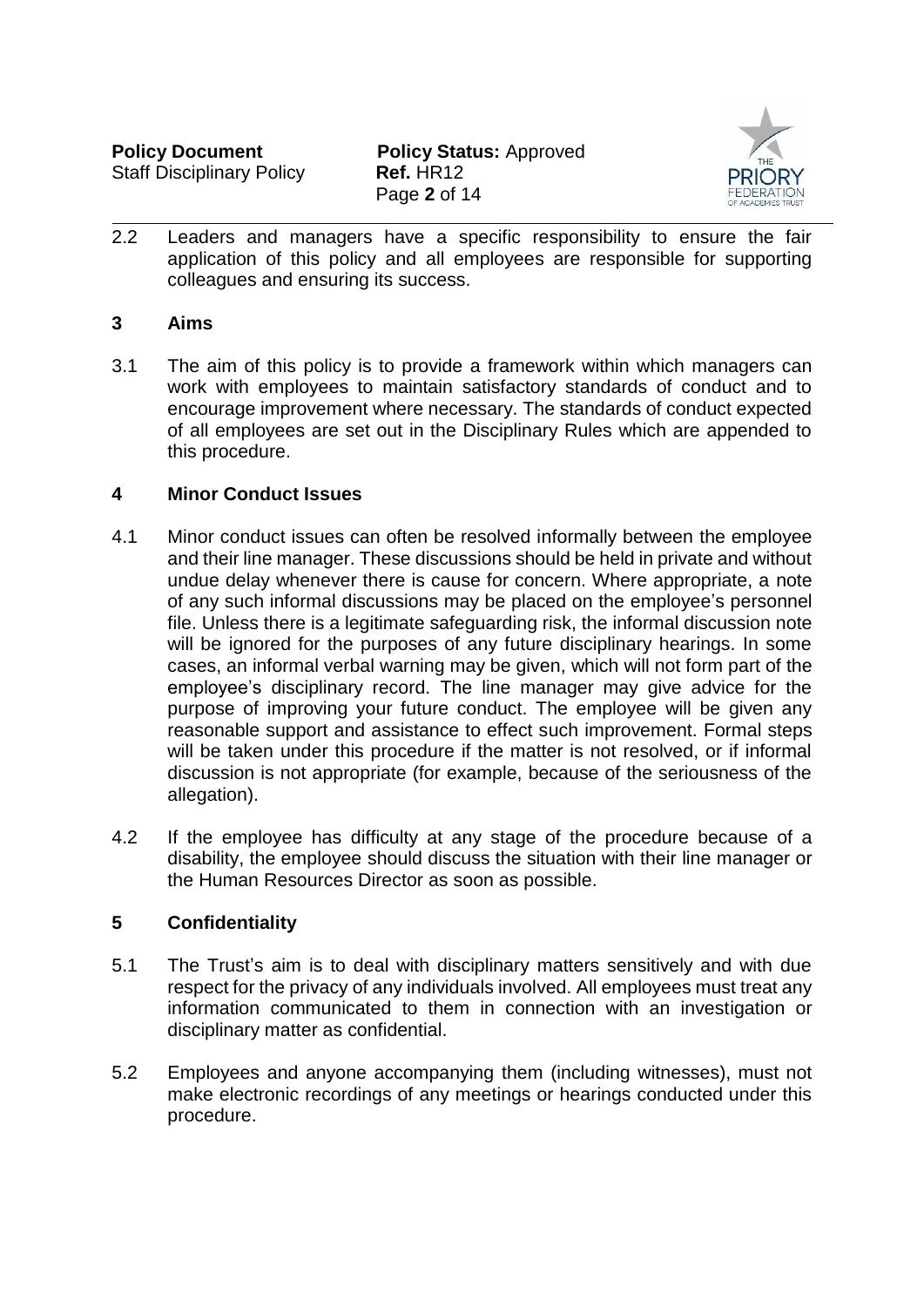**Policy Document Policy Status: Approved** Page **2** of 14



2.2 Leaders and managers have a specific responsibility to ensure the fair application of this policy and all employees are responsible for supporting colleagues and ensuring its success.

#### **3 Aims**

3.1 The aim of this policy is to provide a framework within which managers can work with employees to maintain satisfactory standards of conduct and to encourage improvement where necessary. The standards of conduct expected of all employees are set out in the Disciplinary Rules which are appended to this procedure.

### **4 Minor Conduct Issues**

- 4.1 Minor conduct issues can often be resolved informally between the employee and their line manager. These discussions should be held in private and without undue delay whenever there is cause for concern. Where appropriate, a note of any such informal discussions may be placed on the employee's personnel file. Unless there is a legitimate safeguarding risk, the informal discussion note will be ignored for the purposes of any future disciplinary hearings. In some cases, an informal verbal warning may be given, which will not form part of the employee's disciplinary record. The line manager may give advice for the purpose of improving your future conduct. The employee will be given any reasonable support and assistance to effect such improvement. Formal steps will be taken under this procedure if the matter is not resolved, or if informal discussion is not appropriate (for example, because of the seriousness of the allegation).
- 4.2 If the employee has difficulty at any stage of the procedure because of a disability, the employee should discuss the situation with their line manager or the Human Resources Director as soon as possible.

# **5 Confidentiality**

- 5.1 The Trust's aim is to deal with disciplinary matters sensitively and with due respect for the privacy of any individuals involved. All employees must treat any information communicated to them in connection with an investigation or disciplinary matter as confidential.
- 5.2 Employees and anyone accompanying them (including witnesses), must not make electronic recordings of any meetings or hearings conducted under this procedure.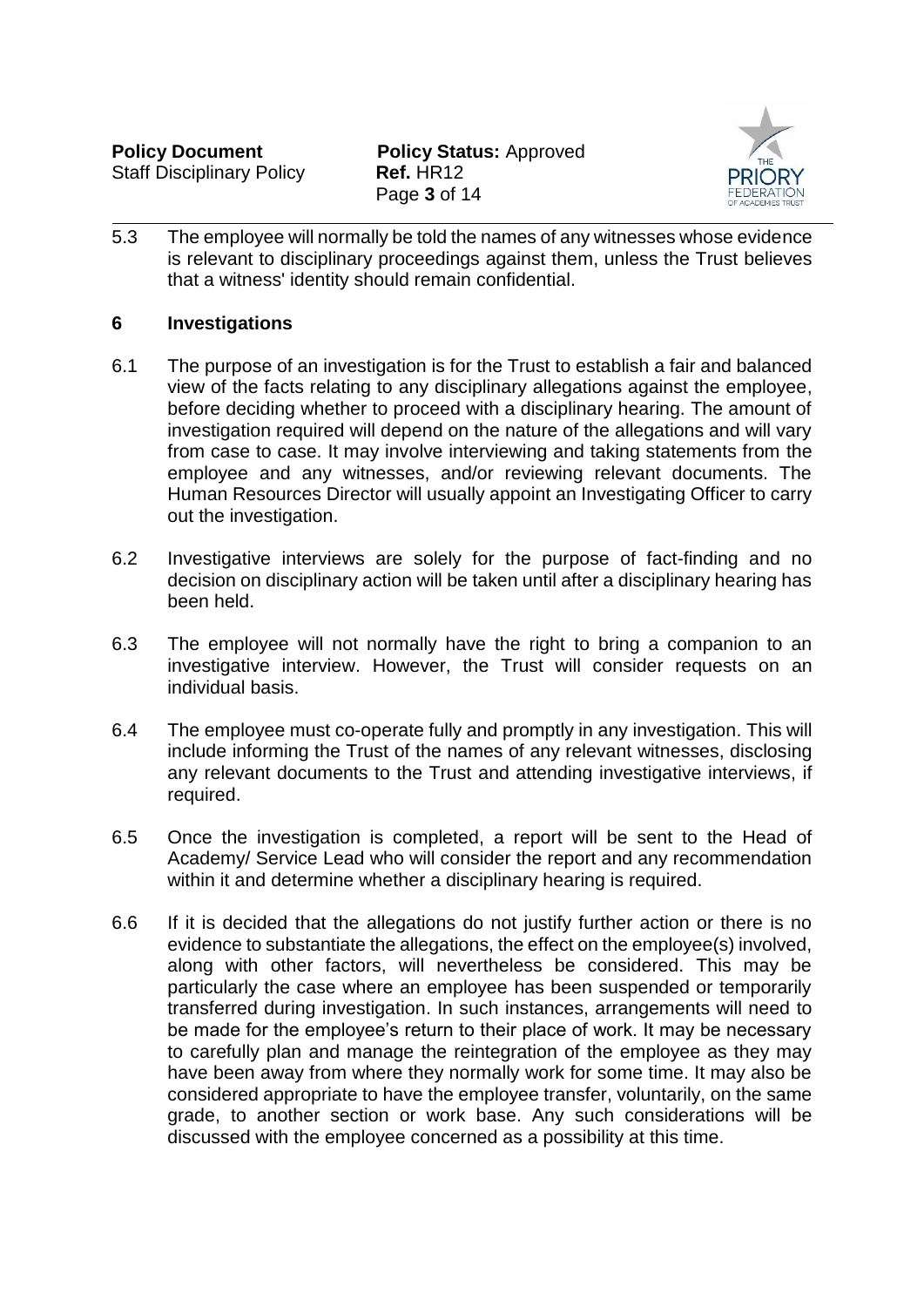

5.3 The employee will normally be told the names of any witnesses whose evidence is relevant to disciplinary proceedings against them, unless the Trust believes that a witness' identity should remain confidential.

### **6 Investigations**

- 6.1 The purpose of an investigation is for the Trust to establish a fair and balanced view of the facts relating to any disciplinary allegations against the employee, before deciding whether to proceed with a disciplinary hearing. The amount of investigation required will depend on the nature of the allegations and will vary from case to case. It may involve interviewing and taking statements from the employee and any witnesses, and/or reviewing relevant documents. The Human Resources Director will usually appoint an Investigating Officer to carry out the investigation.
- 6.2 Investigative interviews are solely for the purpose of fact-finding and no decision on disciplinary action will be taken until after a disciplinary hearing has been held.
- 6.3 The employee will not normally have the right to bring a companion to an investigative interview. However, the Trust will consider requests on an individual basis.
- 6.4 The employee must co-operate fully and promptly in any investigation. This will include informing the Trust of the names of any relevant witnesses, disclosing any relevant documents to the Trust and attending investigative interviews, if required.
- 6.5 Once the investigation is completed, a report will be sent to the Head of Academy/ Service Lead who will consider the report and any recommendation within it and determine whether a disciplinary hearing is required.
- 6.6 If it is decided that the allegations do not justify further action or there is no evidence to substantiate the allegations, the effect on the employee(s) involved, along with other factors, will nevertheless be considered. This may be particularly the case where an employee has been suspended or temporarily transferred during investigation. In such instances, arrangements will need to be made for the employee's return to their place of work. It may be necessary to carefully plan and manage the reintegration of the employee as they may have been away from where they normally work for some time. It may also be considered appropriate to have the employee transfer, voluntarily, on the same grade, to another section or work base. Any such considerations will be discussed with the employee concerned as a possibility at this time.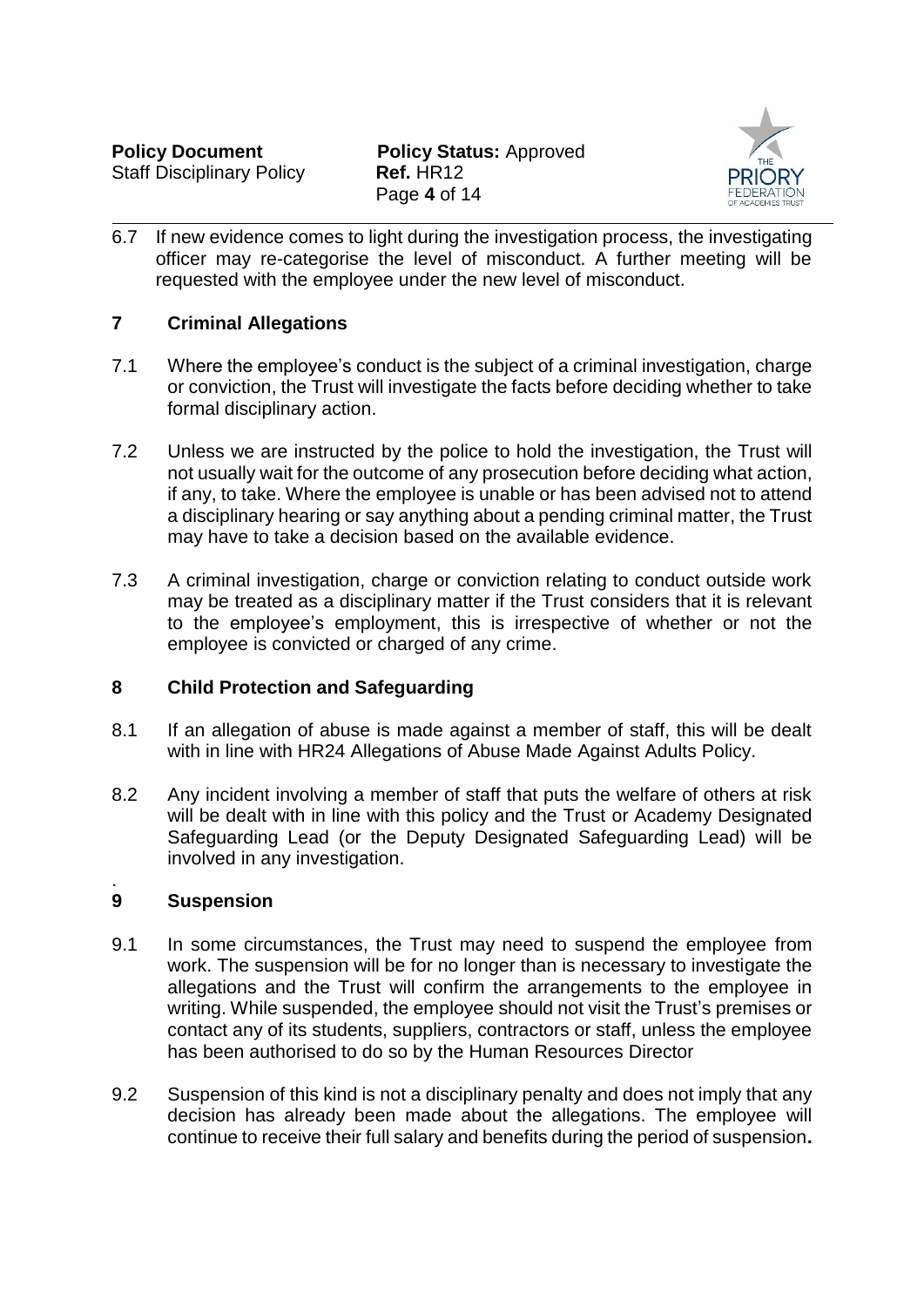

6.7 If new evidence comes to light during the investigation process, the investigating officer may re-categorise the level of misconduct. A further meeting will be requested with the employee under the new level of misconduct.

# **7 Criminal Allegations**

- 7.1 Where the employee's conduct is the subject of a criminal investigation, charge or conviction, the Trust will investigate the facts before deciding whether to take formal disciplinary action.
- 7.2 Unless we are instructed by the police to hold the investigation, the Trust will not usually wait for the outcome of any prosecution before deciding what action, if any, to take. Where the employee is unable or has been advised not to attend a disciplinary hearing or say anything about a pending criminal matter, the Trust may have to take a decision based on the available evidence.
- 7.3 A criminal investigation, charge or conviction relating to conduct outside work may be treated as a disciplinary matter if the Trust considers that it is relevant to the employee's employment, this is irrespective of whether or not the employee is convicted or charged of any crime.

# **8 Child Protection and Safeguarding**

- 8.1 If an allegation of abuse is made against a member of staff, this will be dealt with in line with HR24 Allegations of Abuse Made Against Adults Policy.
- 8.2 Any incident involving a member of staff that puts the welfare of others at risk will be dealt with in line with this policy and the Trust or Academy Designated Safeguarding Lead (or the Deputy Designated Safeguarding Lead) will be involved in any investigation.

#### . **9 Suspension**

- 9.1 In some circumstances, the Trust may need to suspend the employee from work. The suspension will be for no longer than is necessary to investigate the allegations and the Trust will confirm the arrangements to the employee in writing. While suspended, the employee should not visit the Trust's premises or contact any of its students, suppliers, contractors or staff, unless the employee has been authorised to do so by the Human Resources Director
- 9.2 Suspension of this kind is not a disciplinary penalty and does not imply that any decision has already been made about the allegations. The employee will continue to receive their full salary and benefits during the period of suspension**.**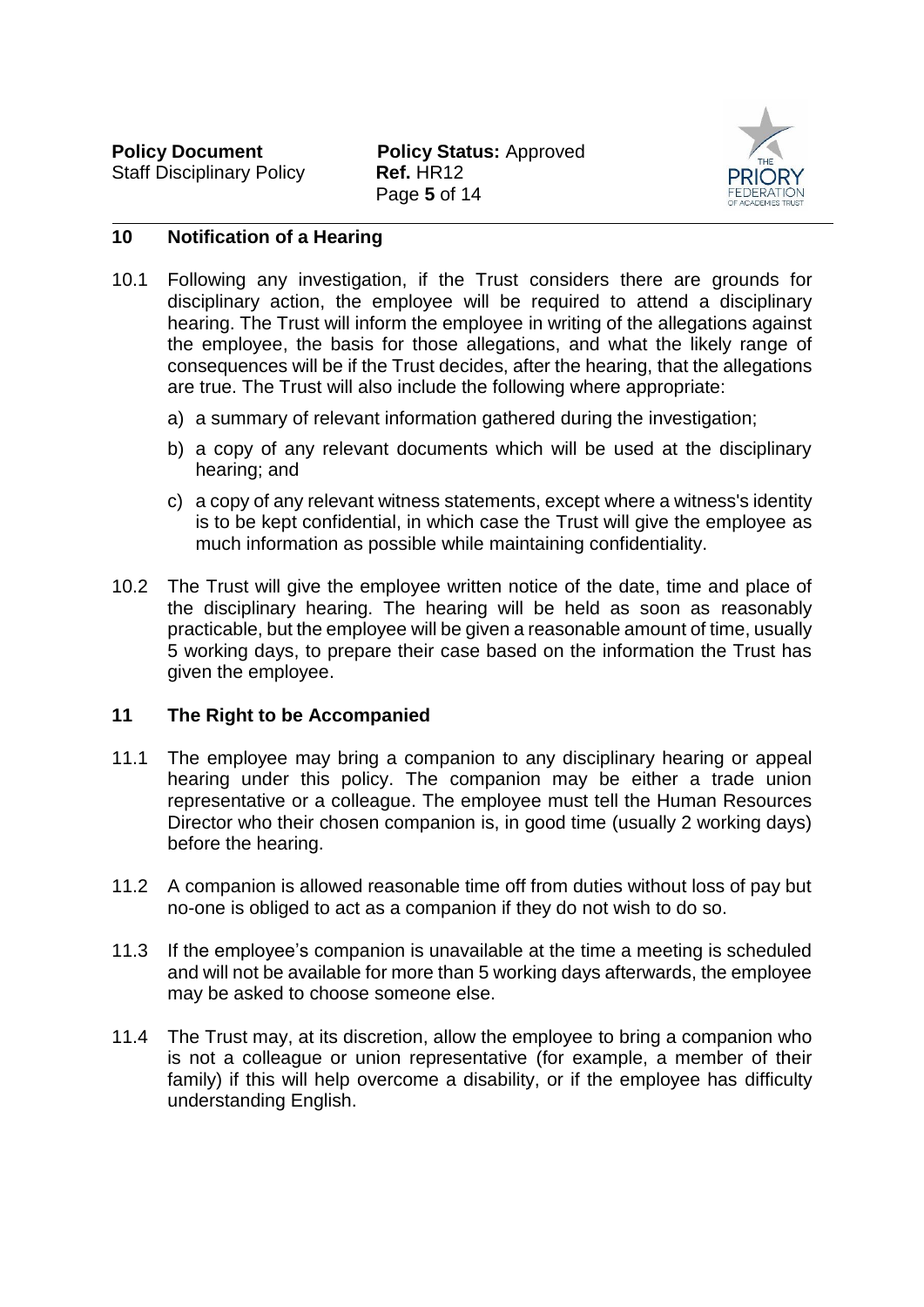

#### **10 Notification of a Hearing**

- 10.1 Following any investigation, if the Trust considers there are grounds for disciplinary action, the employee will be required to attend a disciplinary hearing. The Trust will inform the employee in writing of the allegations against the employee, the basis for those allegations, and what the likely range of consequences will be if the Trust decides, after the hearing, that the allegations are true. The Trust will also include the following where appropriate:
	- a) a summary of relevant information gathered during the investigation;
	- b) a copy of any relevant documents which will be used at the disciplinary hearing; and
	- c) a copy of any relevant witness statements, except where a witness's identity is to be kept confidential, in which case the Trust will give the employee as much information as possible while maintaining confidentiality.
- 10.2 The Trust will give the employee written notice of the date, time and place of the disciplinary hearing. The hearing will be held as soon as reasonably practicable, but the employee will be given a reasonable amount of time, usually 5 working days, to prepare their case based on the information the Trust has given the employee.

#### <span id="page-5-0"></span>**11 The Right to be Accompanied**

- 11.1 The employee may bring a companion to any disciplinary hearing or appeal hearing under this policy. The companion may be either a trade union representative or a colleague. The employee must tell the Human Resources Director who their chosen companion is, in good time (usually 2 working days) before the hearing.
- 11.2 A companion is allowed reasonable time off from duties without loss of pay but no-one is obliged to act as a companion if they do not wish to do so.
- 11.3 If the employee's companion is unavailable at the time a meeting is scheduled and will not be available for more than 5 working days afterwards, the employee may be asked to choose someone else.
- 11.4 The Trust may, at its discretion, allow the employee to bring a companion who is not a colleague or union representative (for example, a member of their family) if this will help overcome a disability, or if the employee has difficulty understanding English.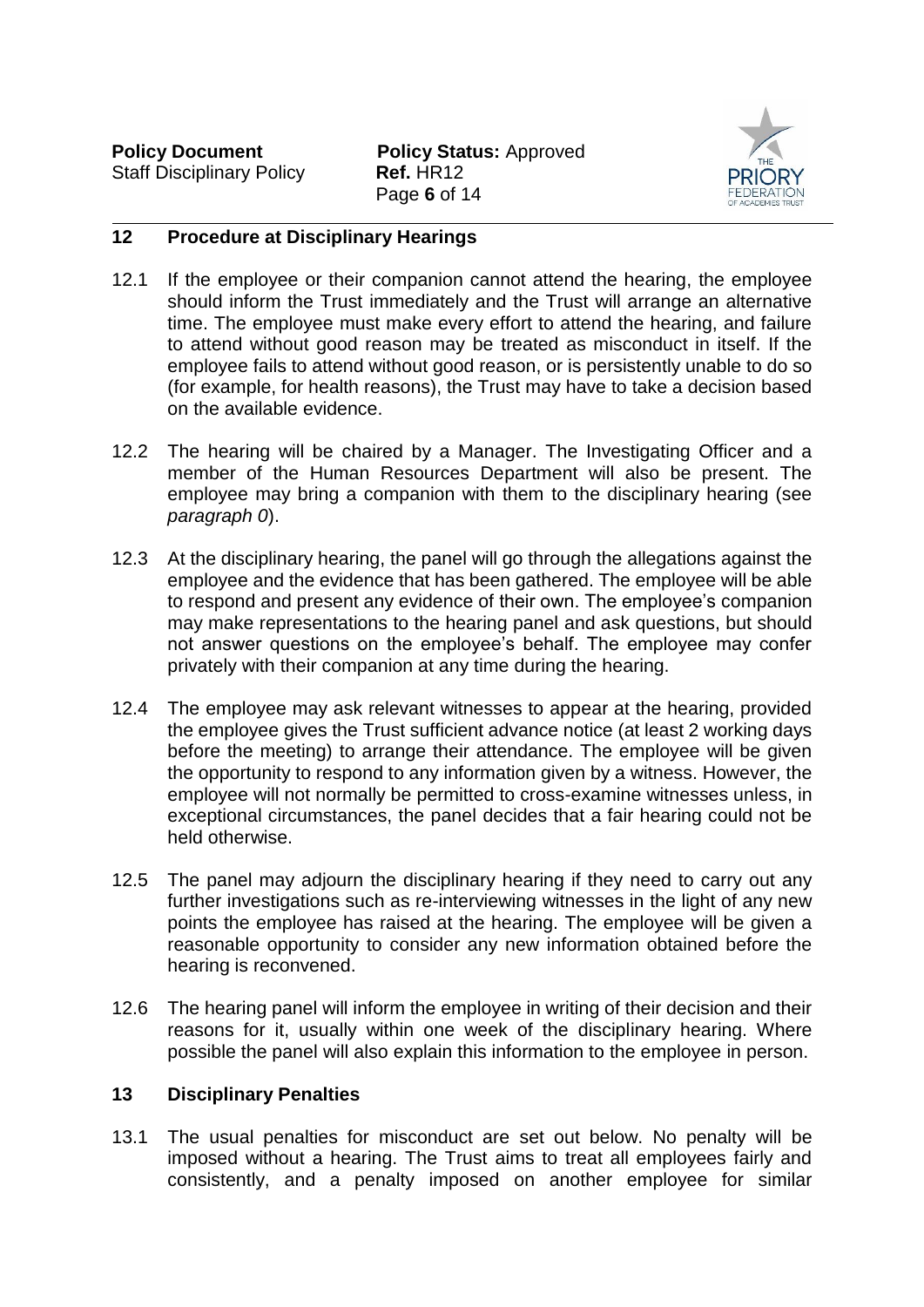

### **12 Procedure at Disciplinary Hearings**

- 12.1 If the employee or their companion cannot attend the hearing, the employee should inform the Trust immediately and the Trust will arrange an alternative time. The employee must make every effort to attend the hearing, and failure to attend without good reason may be treated as misconduct in itself. If the employee fails to attend without good reason, or is persistently unable to do so (for example, for health reasons), the Trust may have to take a decision based on the available evidence.
- 12.2 The hearing will be chaired by a Manager. The Investigating Officer and a member of the Human Resources Department will also be present. The employee may bring a companion with them to the disciplinary hearing (see *paragraph [0](#page-5-0)*).
- 12.3 At the disciplinary hearing, the panel will go through the allegations against the employee and the evidence that has been gathered. The employee will be able to respond and present any evidence of their own. The employee's companion may make representations to the hearing panel and ask questions, but should not answer questions on the employee's behalf. The employee may confer privately with their companion at any time during the hearing.
- 12.4 The employee may ask relevant witnesses to appear at the hearing, provided the employee gives the Trust sufficient advance notice (at least 2 working days before the meeting) to arrange their attendance. The employee will be given the opportunity to respond to any information given by a witness. However, the employee will not normally be permitted to cross-examine witnesses unless, in exceptional circumstances, the panel decides that a fair hearing could not be held otherwise.
- 12.5 The panel may adjourn the disciplinary hearing if they need to carry out any further investigations such as re-interviewing witnesses in the light of any new points the employee has raised at the hearing. The employee will be given a reasonable opportunity to consider any new information obtained before the hearing is reconvened.
- 12.6 The hearing panel will inform the employee in writing of their decision and their reasons for it, usually within one week of the disciplinary hearing. Where possible the panel will also explain this information to the employee in person.

# **13 Disciplinary Penalties**

13.1 The usual penalties for misconduct are set out below. No penalty will be imposed without a hearing. The Trust aims to treat all employees fairly and consistently, and a penalty imposed on another employee for similar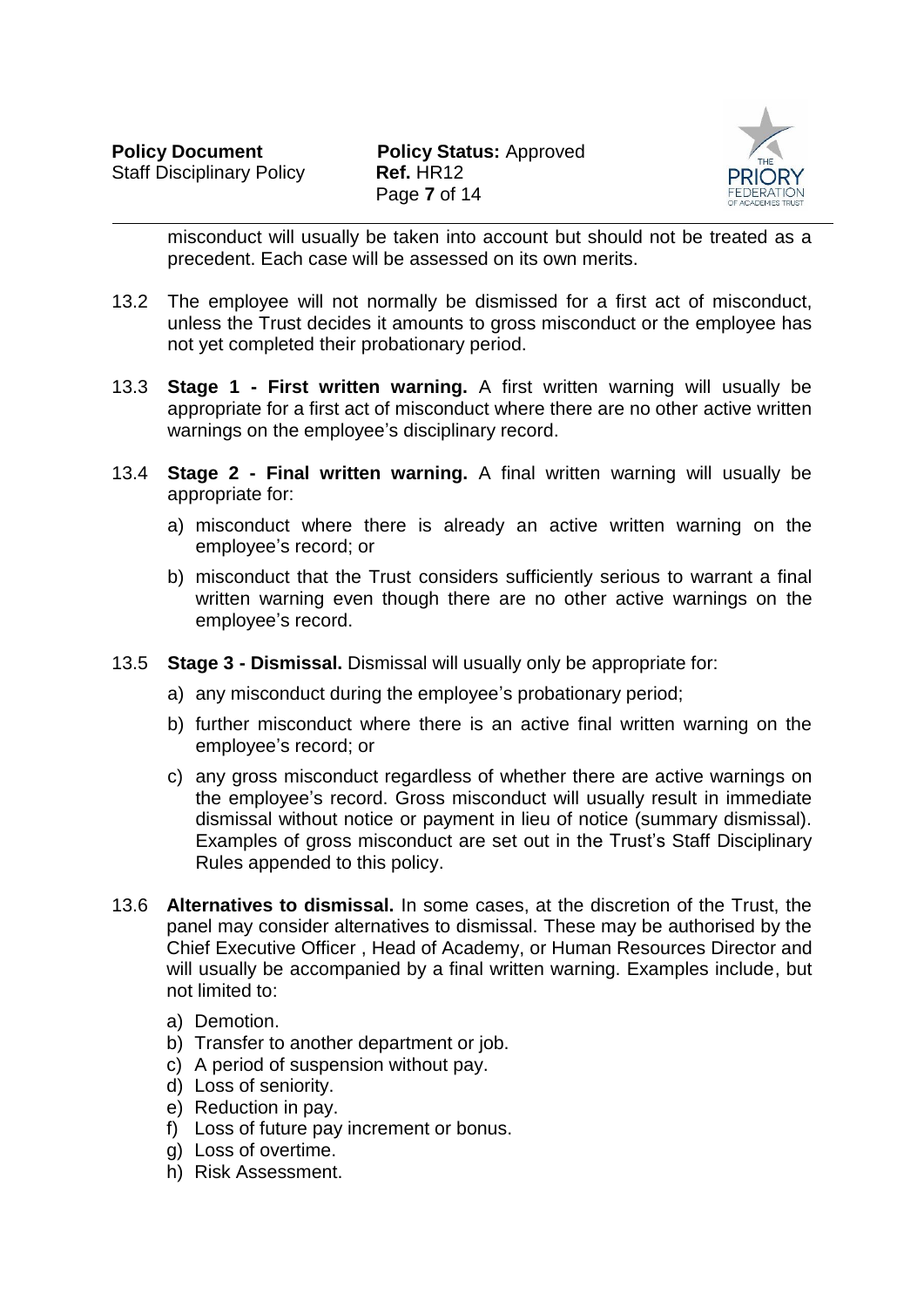

misconduct will usually be taken into account but should not be treated as a precedent. Each case will be assessed on its own merits.

- 13.2 The employee will not normally be dismissed for a first act of misconduct, unless the Trust decides it amounts to gross misconduct or the employee has not yet completed their probationary period.
- 13.3 **Stage 1 - First written warning.** A first written warning will usually be appropriate for a first act of misconduct where there are no other active written warnings on the employee's disciplinary record.
- 13.4 **Stage 2 - Final written warning.** A final written warning will usually be appropriate for:
	- a) misconduct where there is already an active written warning on the employee's record; or
	- b) misconduct that the Trust considers sufficiently serious to warrant a final written warning even though there are no other active warnings on the employee's record.
- 13.5 **Stage 3 - Dismissal.** Dismissal will usually only be appropriate for:
	- a) any misconduct during the employee's probationary period;
	- b) further misconduct where there is an active final written warning on the employee's record; or
	- c) any gross misconduct regardless of whether there are active warnings on the employee's record. Gross misconduct will usually result in immediate dismissal without notice or payment in lieu of notice (summary dismissal). Examples of gross misconduct are set out in the Trust's Staff Disciplinary Rules appended to this policy.
- 13.6 **Alternatives to dismissal.** In some cases, at the discretion of the Trust, the panel may consider alternatives to dismissal. These may be authorised by the Chief Executive Officer , Head of Academy, or Human Resources Director and will usually be accompanied by a final written warning. Examples include, but not limited to:
	- a) Demotion.
	- b) Transfer to another department or job.
	- c) A period of suspension without pay.
	- d) Loss of seniority.
	- e) Reduction in pay.
	- f) Loss of future pay increment or bonus.
	- g) Loss of overtime.
	- h) Risk Assessment.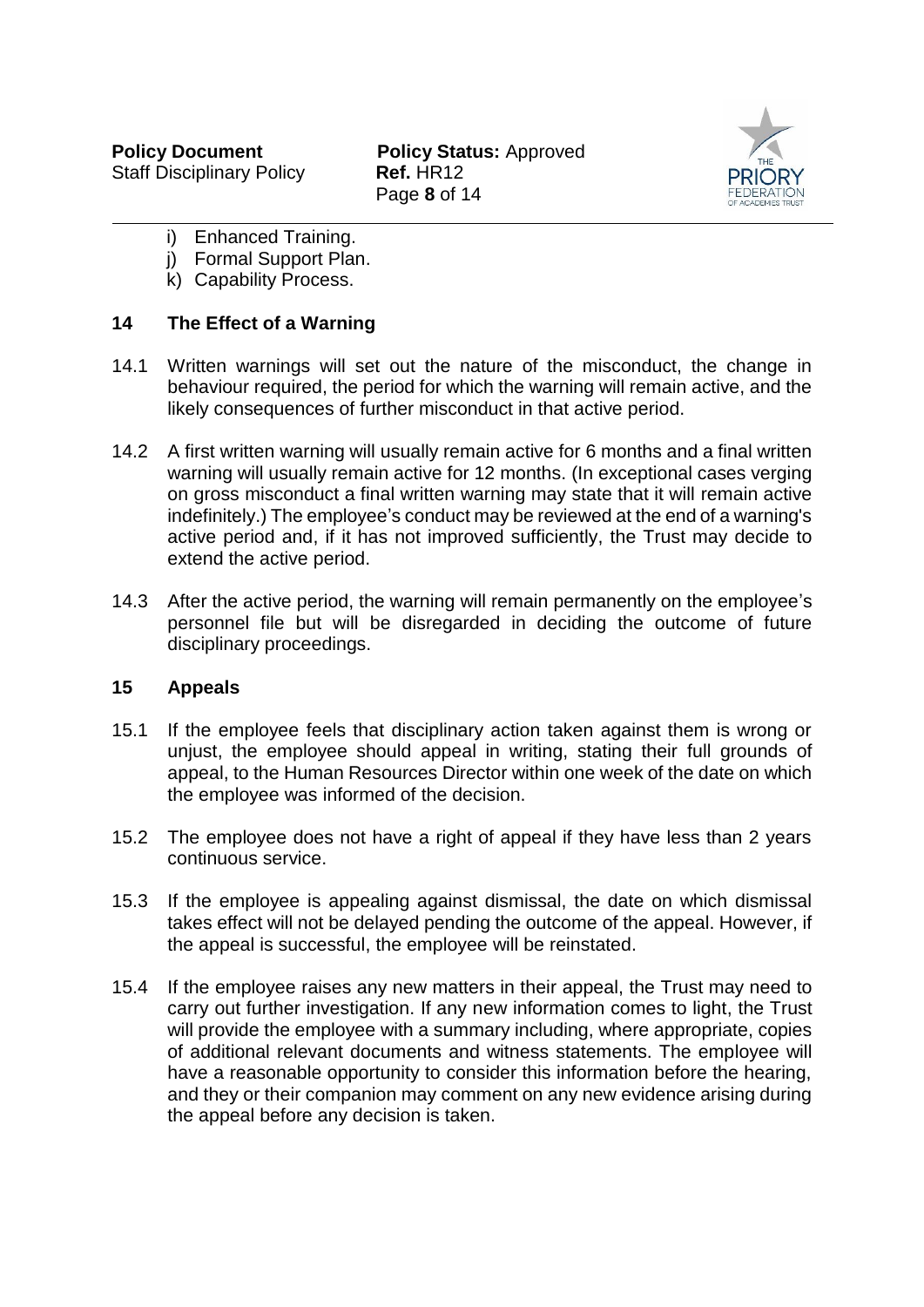

- i) Enhanced Training.
- j) Formal Support Plan.
- k) Capability Process.

### **14 The Effect of a Warning**

- 14.1 Written warnings will set out the nature of the misconduct, the change in behaviour required, the period for which the warning will remain active, and the likely consequences of further misconduct in that active period.
- 14.2 A first written warning will usually remain active for 6 months and a final written warning will usually remain active for 12 months. (In exceptional cases verging on gross misconduct a final written warning may state that it will remain active indefinitely.) The employee's conduct may be reviewed at the end of a warning's active period and, if it has not improved sufficiently, the Trust may decide to extend the active period.
- 14.3 After the active period, the warning will remain permanently on the employee's personnel file but will be disregarded in deciding the outcome of future disciplinary proceedings.

#### **15 Appeals**

- 15.1 If the employee feels that disciplinary action taken against them is wrong or unjust, the employee should appeal in writing, stating their full grounds of appeal, to the Human Resources Director within one week of the date on which the employee was informed of the decision.
- 15.2 The employee does not have a right of appeal if they have less than 2 years continuous service.
- 15.3 If the employee is appealing against dismissal, the date on which dismissal takes effect will not be delayed pending the outcome of the appeal. However, if the appeal is successful, the employee will be reinstated.
- 15.4 If the employee raises any new matters in their appeal, the Trust may need to carry out further investigation. If any new information comes to light, the Trust will provide the employee with a summary including, where appropriate, copies of additional relevant documents and witness statements. The employee will have a reasonable opportunity to consider this information before the hearing, and they or their companion may comment on any new evidence arising during the appeal before any decision is taken.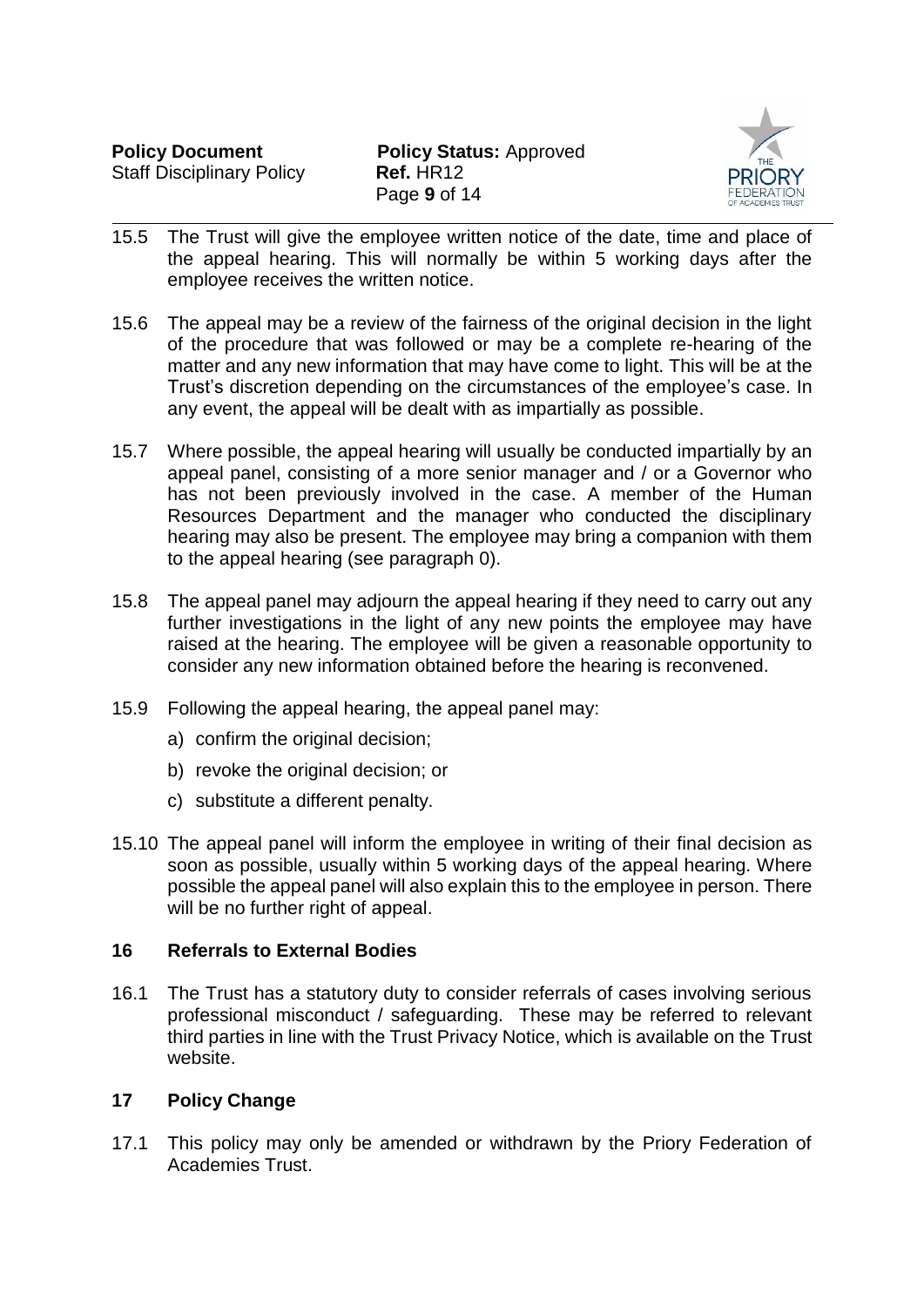

- 15.5 The Trust will give the employee written notice of the date, time and place of the appeal hearing. This will normally be within 5 working days after the employee receives the written notice.
- 15.6 The appeal may be a review of the fairness of the original decision in the light of the procedure that was followed or may be a complete re-hearing of the matter and any new information that may have come to light. This will be at the Trust's discretion depending on the circumstances of the employee's case. In any event, the appeal will be dealt with as impartially as possible.
- 15.7 Where possible, the appeal hearing will usually be conducted impartially by an appeal panel, consisting of a more senior manager and / or a Governor who has not been previously involved in the case. A member of the Human Resources Department and the manager who conducted the disciplinary hearing may also be present. The employee may bring a companion with them to the appeal hearing (see paragraph [0\)](#page-5-0).
- 15.8 The appeal panel may adjourn the appeal hearing if they need to carry out any further investigations in the light of any new points the employee may have raised at the hearing. The employee will be given a reasonable opportunity to consider any new information obtained before the hearing is reconvened.
- 15.9 Following the appeal hearing, the appeal panel may:
	- a) confirm the original decision;
	- b) revoke the original decision; or
	- c) substitute a different penalty.
- 15.10 The appeal panel will inform the employee in writing of their final decision as soon as possible, usually within 5 working days of the appeal hearing. Where possible the appeal panel will also explain this to the employee in person. There will be no further right of appeal.

# **16 Referrals to External Bodies**

16.1 The Trust has a statutory duty to consider referrals of cases involving serious professional misconduct / safeguarding. These may be referred to relevant third parties in line with the Trust Privacy Notice, which is available on the Trust website.

# **17 Policy Change**

17.1 This policy may only be amended or withdrawn by the Priory Federation of Academies Trust.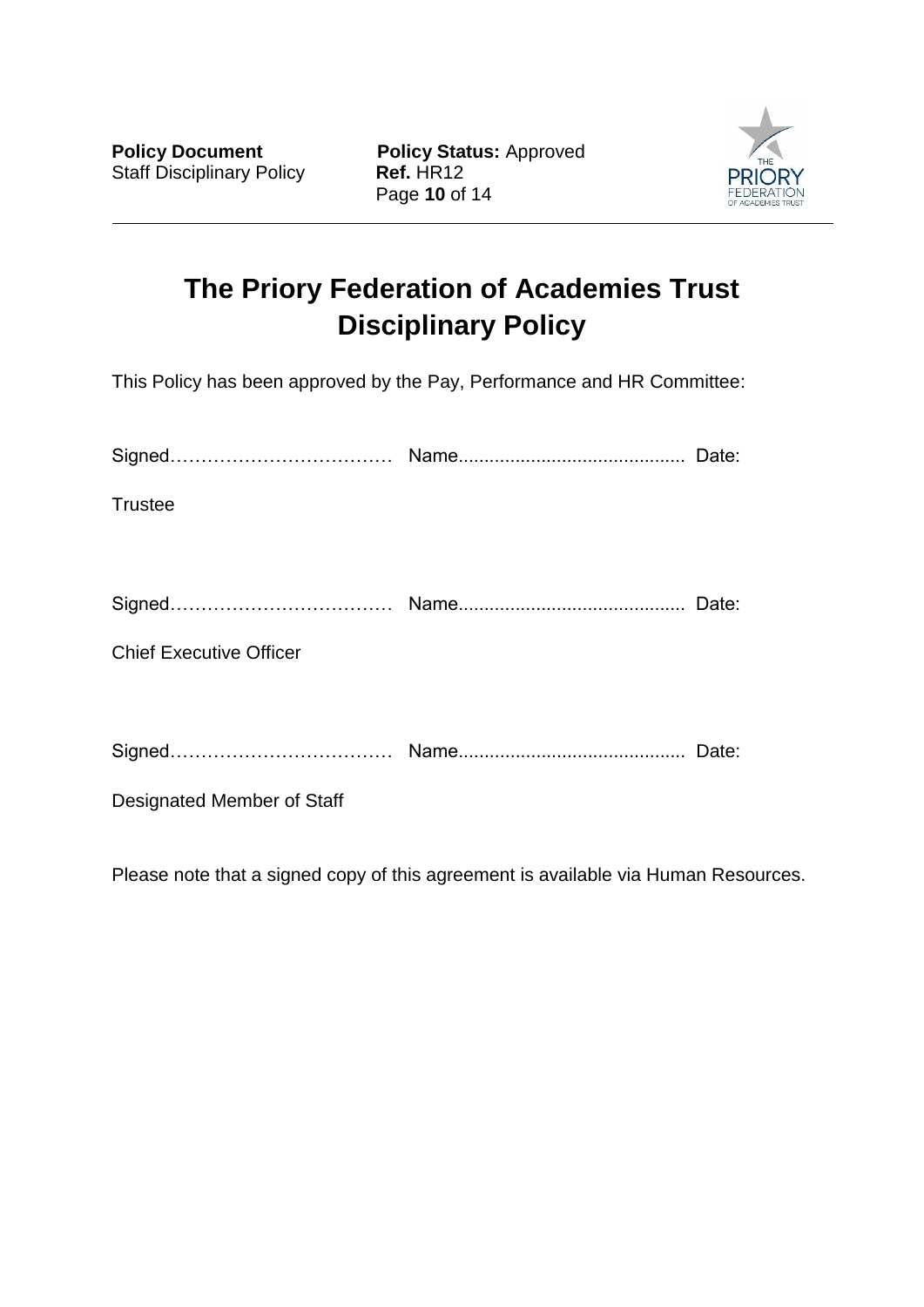**Policy Document Policy Status: Approved** Page **10** of 14



# **The Priory Federation of Academies Trust Disciplinary Policy**

This Policy has been approved by the Pay, Performance and HR Committee:

| <b>Trustee</b>                 |       |
|--------------------------------|-------|
|                                |       |
|                                | Date: |
| <b>Chief Executive Officer</b> |       |
|                                |       |
|                                |       |
| Designated Member of Staff     |       |

Please note that a signed copy of this agreement is available via Human Resources.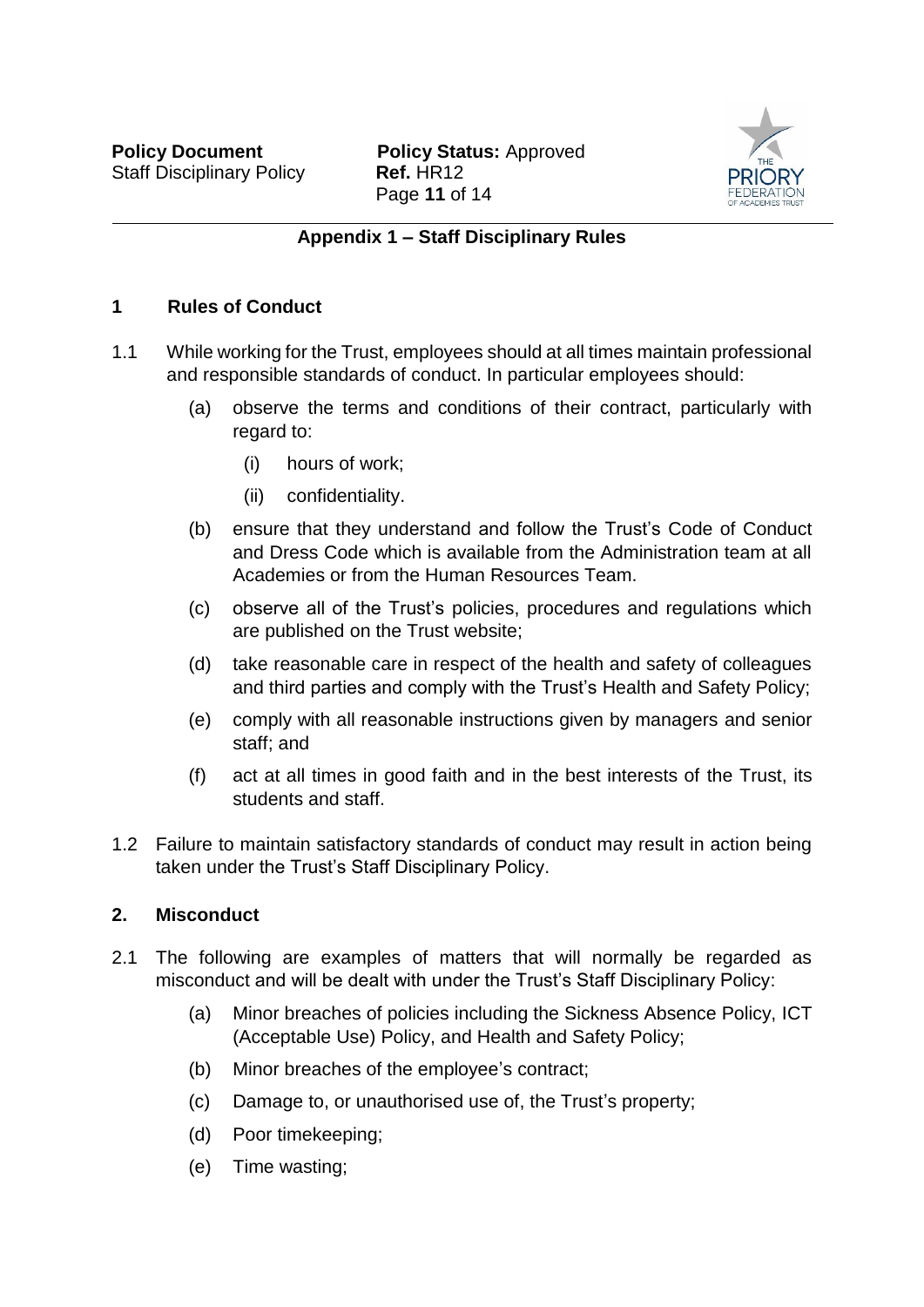

### **Appendix 1 – Staff Disciplinary Rules**

#### **1 Rules of Conduct**

- 1.1 While working for the Trust, employees should at all times maintain professional and responsible standards of conduct. In particular employees should:
	- (a) observe the terms and conditions of their contract, particularly with regard to:
		- (i) hours of work;
		- (ii) confidentiality.
	- (b) ensure that they understand and follow the Trust's Code of Conduct and Dress Code which is available from the Administration team at all Academies or from the Human Resources Team.
	- (c) observe all of the Trust's policies, procedures and regulations which are published on the Trust website;
	- (d) take reasonable care in respect of the health and safety of colleagues and third parties and comply with the Trust's Health and Safety Policy;
	- (e) comply with all reasonable instructions given by managers and senior staff; and
	- (f) act at all times in good faith and in the best interests of the Trust, its students and staff.
- 1.2 Failure to maintain satisfactory standards of conduct may result in action being taken under the Trust's Staff Disciplinary Policy.

#### **2. Misconduct**

- 2.1 The following are examples of matters that will normally be regarded as misconduct and will be dealt with under the Trust's Staff Disciplinary Policy:
	- (a) Minor breaches of policies including the Sickness Absence Policy, ICT (Acceptable Use) Policy, and Health and Safety Policy;
	- (b) Minor breaches of the employee's contract;
	- (c) Damage to, or unauthorised use of, the Trust's property;
	- (d) Poor timekeeping;
	- (e) Time wasting;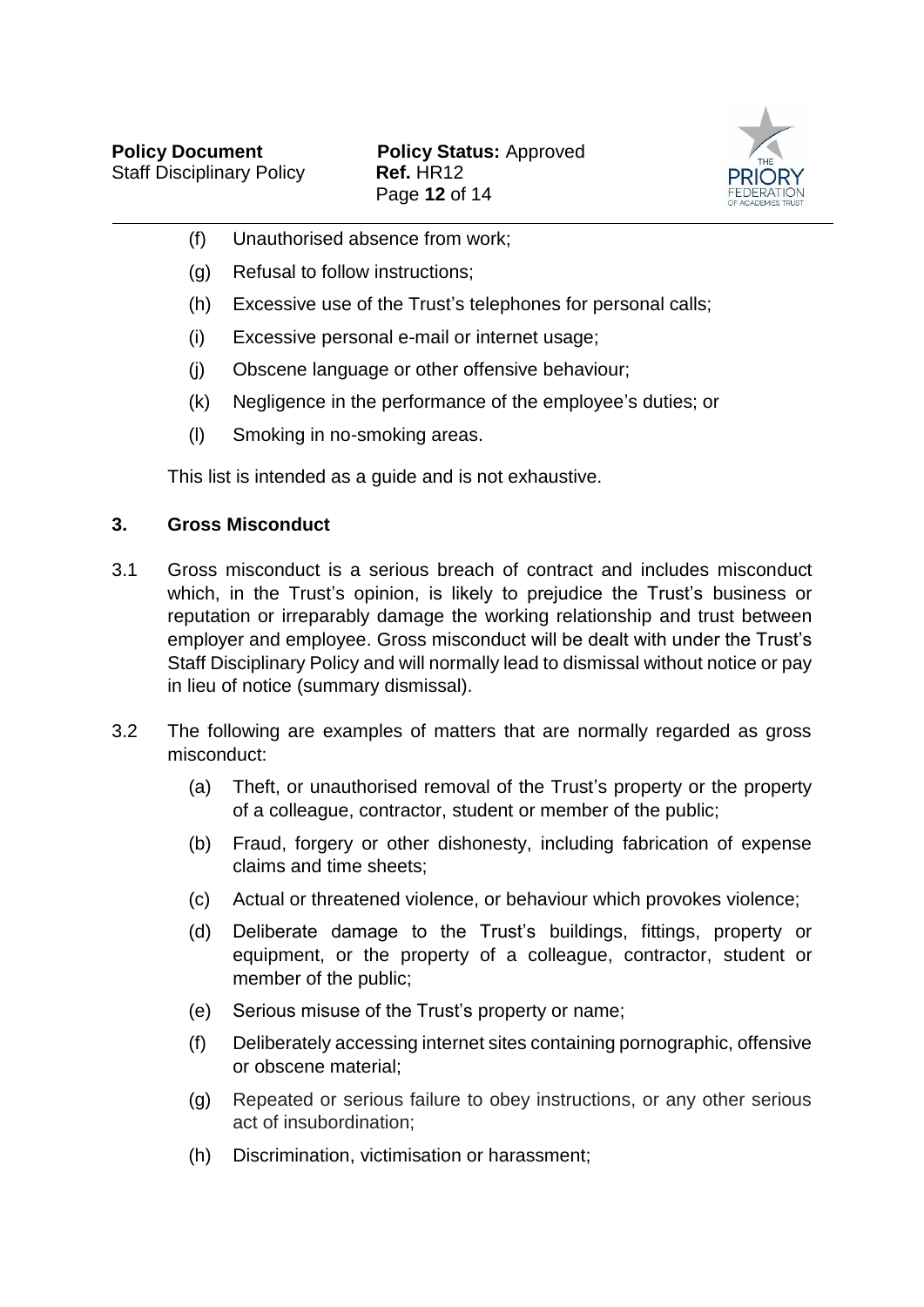

- (f) Unauthorised absence from work;
- (g) Refusal to follow instructions;
- (h) Excessive use of the Trust's telephones for personal calls;
- (i) Excessive personal e-mail or internet usage;
- (j) Obscene language or other offensive behaviour;
- (k) Negligence in the performance of the employee's duties; or
- (l) Smoking in no-smoking areas.

This list is intended as a guide and is not exhaustive.

### **3. Gross Misconduct**

- 3.1 Gross misconduct is a serious breach of contract and includes misconduct which, in the Trust's opinion, is likely to prejudice the Trust's business or reputation or irreparably damage the working relationship and trust between employer and employee. Gross misconduct will be dealt with under the Trust's Staff Disciplinary Policy and will normally lead to dismissal without notice or pay in lieu of notice (summary dismissal).
- 3.2 The following are examples of matters that are normally regarded as gross misconduct:
	- (a) Theft, or unauthorised removal of the Trust's property or the property of a colleague, contractor, student or member of the public;
	- (b) Fraud, forgery or other dishonesty, including fabrication of expense claims and time sheets;
	- (c) Actual or threatened violence, or behaviour which provokes violence;
	- (d) Deliberate damage to the Trust's buildings, fittings, property or equipment, or the property of a colleague, contractor, student or member of the public;
	- (e) Serious misuse of the Trust's property or name;
	- (f) Deliberately accessing internet sites containing pornographic, offensive or obscene material;
	- (g) Repeated or serious failure to obey instructions, or any other serious act of insubordination;
	- (h) Discrimination, victimisation or harassment;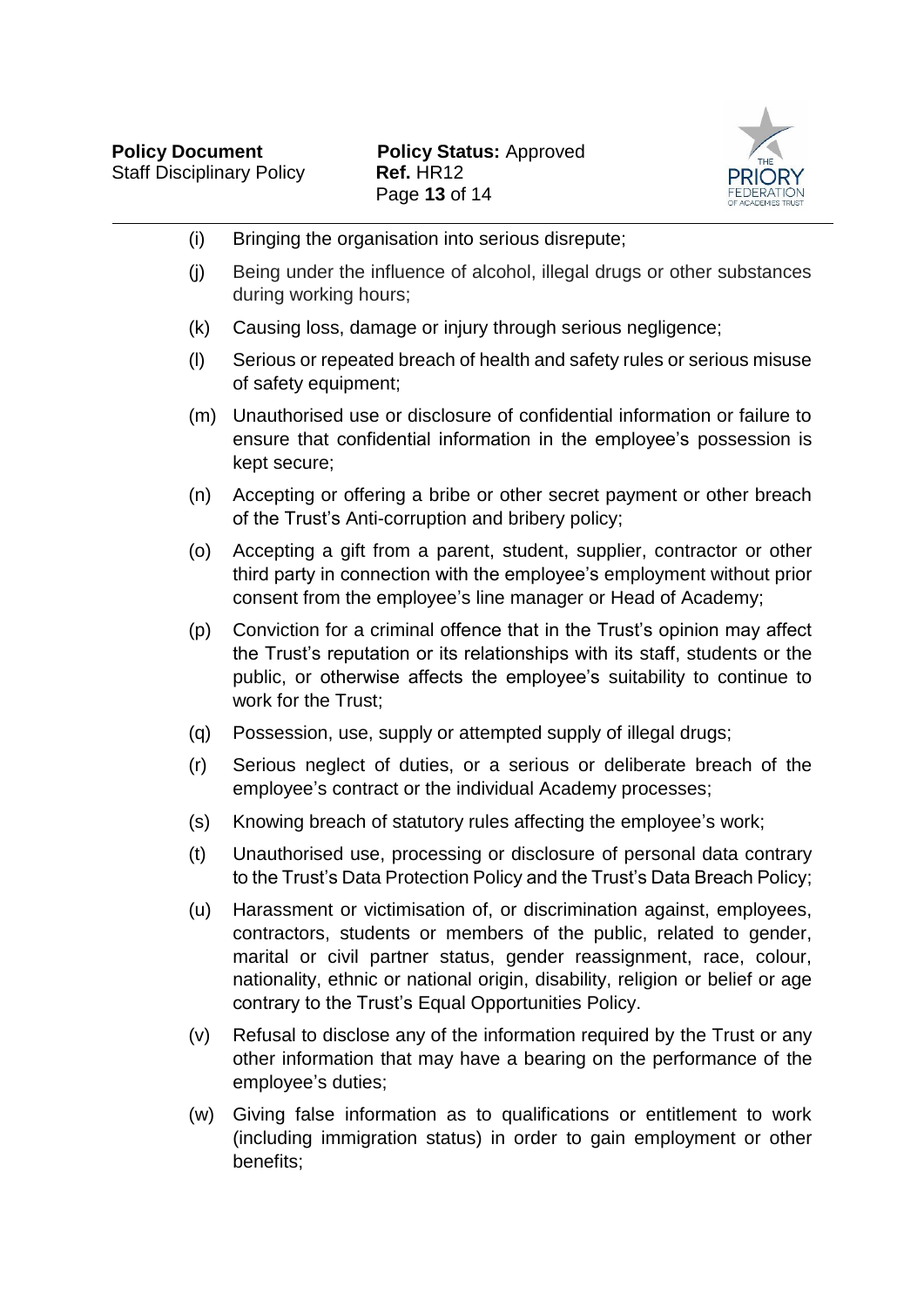

| (i) | Bringing the organisation into serious disrepute;                                                                                                                                                                                                                                                                                                          |
|-----|------------------------------------------------------------------------------------------------------------------------------------------------------------------------------------------------------------------------------------------------------------------------------------------------------------------------------------------------------------|
| (j) | Being under the influence of alcohol, illegal drugs or other substances<br>during working hours;                                                                                                                                                                                                                                                           |
| (k) | Causing loss, damage or injury through serious negligence;                                                                                                                                                                                                                                                                                                 |
| (1) | Serious or repeated breach of health and safety rules or serious misuse<br>of safety equipment;                                                                                                                                                                                                                                                            |
| (m) | Unauthorised use or disclosure of confidential information or failure to<br>ensure that confidential information in the employee's possession is<br>kept secure;                                                                                                                                                                                           |
| (n) | Accepting or offering a bribe or other secret payment or other breach<br>of the Trust's Anti-corruption and bribery policy;                                                                                                                                                                                                                                |
| (0) | Accepting a gift from a parent, student, supplier, contractor or other<br>third party in connection with the employee's employment without prior<br>consent from the employee's line manager or Head of Academy;                                                                                                                                           |
| (p) | Conviction for a criminal offence that in the Trust's opinion may affect<br>the Trust's reputation or its relationships with its staff, students or the<br>public, or otherwise affects the employee's suitability to continue to<br>work for the Trust;                                                                                                   |
| (q) | Possession, use, supply or attempted supply of illegal drugs;                                                                                                                                                                                                                                                                                              |
| (r) | Serious neglect of duties, or a serious or deliberate breach of the<br>employee's contract or the individual Academy processes;                                                                                                                                                                                                                            |
| (s) | Knowing breach of statutory rules affecting the employee's work;                                                                                                                                                                                                                                                                                           |
| (t) | Unauthorised use, processing or disclosure of personal data contrary<br>to the Trust's Data Protection Policy and the Trust's Data Breach Policy;                                                                                                                                                                                                          |
| (u) | Harassment or victimisation of, or discrimination against, employees,<br>contractors, students or members of the public, related to gender,<br>marital or civil partner status, gender reassignment, race, colour,<br>nationality, ethnic or national origin, disability, religion or belief or age<br>contrary to the Trust's Equal Opportunities Policy. |
| (v) | Refusal to disclose any of the information required by the Trust or any<br>other information that may have a bearing on the performance of the<br>employee's duties;                                                                                                                                                                                       |
| (w) | Giving false information as to qualifications or entitlement to work<br>(including immigration status) in order to gain employment or other<br>benefits;                                                                                                                                                                                                   |